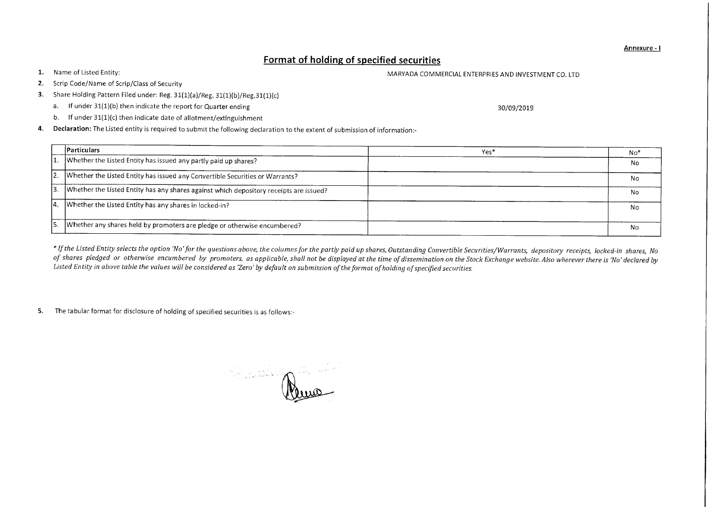Annexure - I

## **Format of holding of specified securities**

1. Name of Listed Entity: The United States of Listed Entity: MARYADA COMMERCIAL ENTERPRIES AND INVESTMENT CO. LTD

- 2. Scrip Code/Name of Scrip/Class of Security
- 3. Share Holding Pattern Filed under: Reg. 31(1)(a)/Reg. 31(1)(b)/Reg.31(1)(c)
	- a. If under 31(1)(b) then indicate the report for Quarter ending 30/09/2019
	- b. If under 31(1)(c) then indicate date of allotment/extinguishment
- 4. Declaration: The Listed entity is required to submit the following declaration to the extent of submission of information:-

|     | <b>Particulars</b>                                                                                | Yes* | No* |
|-----|---------------------------------------------------------------------------------------------------|------|-----|
|     | 1. Whether the Listed Entity has issued any partly paid up shares?                                |      | No  |
|     | [2. Whether the Listed Entity has issued any Convertible Securities or Warrants?                  |      | No  |
|     | $\vert$ 3. Whether the Listed Entity has any shares against which depository receipts are issued? |      | No  |
| 14. | $\Box$ Whether the Listed Entity has any shares in locked-in?                                     |      | No  |
| 15. | Whether any shares held by promoters are pledge or otherwise encumbered?                          |      | No  |

*\* If the Listed Entity selects the option 'No' for the questions above, the columns for the partly paid up shares, Outstanding Convertible Securities/Warrants, depository receipts, locked-in shares, No of shares pledged or otherwise encumbered by promoters, as applicable, shall not be displayed at the time of dissemination on the Stock Exchange website. Also wherever there is 'No' declared by Listed Entity in above table the values will be considered as 'Zero' by default on submission of the format of holding of specified securities.* 

5. The tabular format for disclosure of holding of specified securities is as follows:-

R -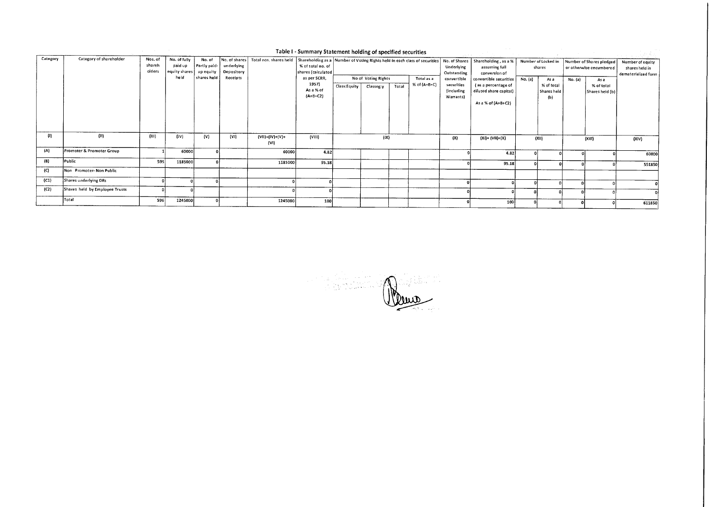|          |                                |                             |                                          |                                     |                          |                                        | Table I - Summary Statement holding of specified securities |                                                                                            |                                  |       |                                |                                                        |                                                                                               |                               |                                          |                                                     |                                                           |        |
|----------|--------------------------------|-----------------------------|------------------------------------------|-------------------------------------|--------------------------|----------------------------------------|-------------------------------------------------------------|--------------------------------------------------------------------------------------------|----------------------------------|-------|--------------------------------|--------------------------------------------------------|-----------------------------------------------------------------------------------------------|-------------------------------|------------------------------------------|-----------------------------------------------------|-----------------------------------------------------------|--------|
| Category | Category of shareholder        | Nos. of<br>shareh<br>olders | No. of fully<br>paid up<br>equity shares | No. of<br>Partly paid-<br>up equity | underlying<br>Depository | No. of shares   Total nos. shares held | % of total no. of<br>shares (calculated                     | Shareholding as a Number of Voting Rights held in each class of securities   No. of Shares |                                  |       | Underlying<br>Outstanding      | Shareholding, as a %<br>assuming full<br>conversion of |                                                                                               | Number of Locked in<br>shares |                                          | Number of Shares pledged<br>or otherwise encumbered | Number of equity<br>shares held in<br>dematerialized form |        |
|          |                                |                             | held                                     | shares held                         | Receipts                 |                                        | as per SCRR,<br>1957)<br>As a % of<br>$(A+B+C2)$            | Class:Equity                                                                               | No of Voting Rights<br>Classeg:y | Total | Total as a<br>$%$ of $(A+B+C)$ | convertible<br>securities<br>(including<br>Warrants)   | convertible securities<br>(as a percentage of<br>diluted share capital)<br>As a % of (A+B+C2) | No. (a)                       | As a<br>% of total<br>Shares held<br>(b) | No. (a)                                             | As a<br>% of total<br>Shares held (b)                     |        |
| (1)      | (11)                           | (111)                       | (IV)                                     | (V)                                 | (VI)                     | $(VII) = (IV)+(V)+$<br>$\{V1\}$        | (VIII)                                                      |                                                                                            | (IX)                             |       |                                | (X)                                                    | $(Xi) = (V1i) + (X)$                                                                          |                               | (X  )                                    |                                                     | (XIII)                                                    | (XIV)  |
| (A)      | Promoter & Promoter Group      |                             | 60000                                    |                                     |                          | 60000                                  | 4.82                                                        |                                                                                            |                                  |       |                                |                                                        | 4.82                                                                                          |                               |                                          |                                                     |                                                           | 60000  |
| (B)      | Public                         | 595                         | 1185000                                  |                                     |                          | 1185000                                | 95.18                                                       |                                                                                            |                                  |       |                                |                                                        | 95.18                                                                                         |                               |                                          |                                                     |                                                           | 551850 |
| (C)      | Non Promoter-Non Public        |                             |                                          |                                     |                          |                                        |                                                             |                                                                                            |                                  |       |                                |                                                        |                                                                                               |                               |                                          |                                                     |                                                           |        |
| (C1)     | Shares underlying DRs          |                             |                                          |                                     |                          |                                        |                                                             |                                                                                            |                                  |       |                                |                                                        |                                                                                               |                               |                                          |                                                     |                                                           |        |
| (C2)     | Shares held by Employee Trusts |                             |                                          |                                     |                          |                                        |                                                             |                                                                                            |                                  |       |                                |                                                        |                                                                                               |                               |                                          |                                                     |                                                           |        |
|          | Total                          | 596                         | 1245000                                  |                                     |                          | 1245000                                | 100                                                         |                                                                                            |                                  |       |                                |                                                        | 100                                                                                           |                               |                                          |                                                     |                                                           | 611850 |

4.第5四章 au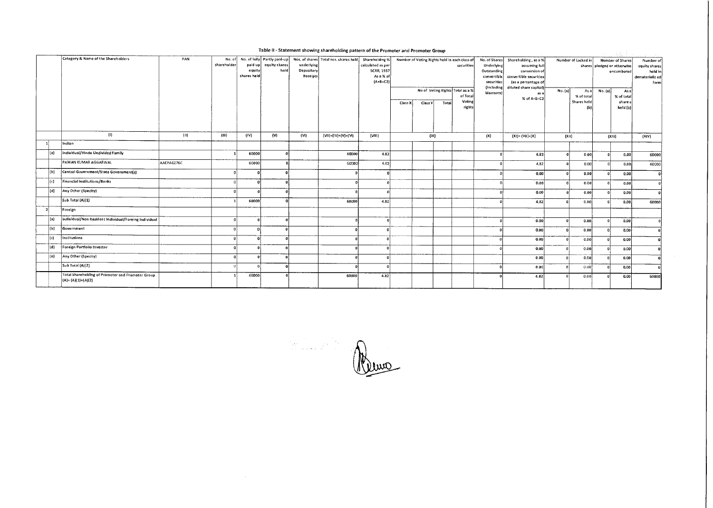|      | Category & Name of the Shareholders                                        | PAN        | shareholder | paid up<br>equity<br>shares held | No. of No. of fully Partly paid-up<br>equity shares<br>held | underlying<br>Depository<br>Receipts | Nos. of shares Total nos. shares held | Shareholding %<br>calculated as per<br><b>SCRR, 1957</b><br>As a % of<br>$[A+B+C2]$ | Class X | Number of Voting Rights held in each class of<br>Class V | Total | securities<br>No of Voting Rights Total as a %<br>of Total<br>Voting<br>rights | Underlying<br>Outstanding<br>convertible<br>securities<br>(including)<br>Warrants) | No. of Shares Shareholding, as a %<br>assuming full<br>conversion of<br>convertible securities.<br>(as a percentage of<br>diluted share capital)<br>as a<br>% of A+B+C2 | No. (a) | Number of Locked in<br>As al<br>% of total<br>Shares held | shares pledged or otherwise<br>No. (a) | <b>Number of Shares</b><br>encumbered<br>Asa<br>% of total<br>share s<br>held (b) | Number of<br>equity shares<br>held in<br>dematerializ ed<br>form |
|------|----------------------------------------------------------------------------|------------|-------------|----------------------------------|-------------------------------------------------------------|--------------------------------------|---------------------------------------|-------------------------------------------------------------------------------------|---------|----------------------------------------------------------|-------|--------------------------------------------------------------------------------|------------------------------------------------------------------------------------|-------------------------------------------------------------------------------------------------------------------------------------------------------------------------|---------|-----------------------------------------------------------|----------------------------------------|-----------------------------------------------------------------------------------|------------------------------------------------------------------|
|      | (1)                                                                        | (11)       | (III)       | (IV)                             | (w)                                                         | (VI)                                 | $(VII) = (IV) + (V) + (VI)$           | (VIII)                                                                              |         | (IX)                                                     |       |                                                                                | (X)                                                                                | $(XI) = (VII)+(X)$                                                                                                                                                      | (XII)   |                                                           | (XIII)                                 |                                                                                   | (XIV)                                                            |
|      | Indian                                                                     |            |             |                                  |                                                             |                                      |                                       |                                                                                     |         |                                                          |       |                                                                                |                                                                                    |                                                                                                                                                                         |         |                                                           |                                        |                                                                                   |                                                                  |
| l(a) | Individual/Hindu Undivided Family                                          |            |             | 60000                            |                                                             |                                      | 60000                                 | 4.82                                                                                |         |                                                          |       |                                                                                |                                                                                    | 4.82                                                                                                                                                                    |         | 0.00                                                      |                                        | 0.00                                                                              | 60000                                                            |
|      | PAWAN KUMAR AGGARWAL                                                       | AAEPA6276C |             | 60000                            |                                                             |                                      | 60000                                 | 4.82                                                                                |         |                                                          |       |                                                                                |                                                                                    | 4.82                                                                                                                                                                    |         | o.co)                                                     |                                        | 0.00                                                                              | 60000                                                            |
| (Ы   | Central Government/State Government(s)                                     |            |             |                                  |                                                             |                                      |                                       |                                                                                     |         |                                                          |       |                                                                                |                                                                                    | 0.00                                                                                                                                                                    |         | 0.00                                                      |                                        | 0.00                                                                              | -oi                                                              |
| (c)  | Financial Institutions/Banks                                               |            |             |                                  |                                                             |                                      |                                       |                                                                                     |         |                                                          |       |                                                                                |                                                                                    | D.00                                                                                                                                                                    |         | 0.00                                                      |                                        | 0.00                                                                              | പ                                                                |
| (d)  | Any Other (Specity)                                                        |            |             |                                  |                                                             |                                      |                                       |                                                                                     |         |                                                          |       |                                                                                |                                                                                    | 0.00                                                                                                                                                                    |         | 0.00                                                      |                                        | 0,00                                                                              | $\mathbf{r}$                                                     |
|      | Sub Total (A)(1)                                                           |            |             | 60000                            |                                                             |                                      | 60000                                 | 4.82                                                                                |         |                                                          |       |                                                                                |                                                                                    | 4.82                                                                                                                                                                    |         | 0.00                                                      |                                        | 0.00                                                                              | 60000                                                            |
|      | Foreign                                                                    |            |             |                                  |                                                             |                                      |                                       |                                                                                     |         |                                                          |       |                                                                                |                                                                                    |                                                                                                                                                                         |         |                                                           |                                        |                                                                                   |                                                                  |
| (a)  | Individual/Non Resident Individual/Foreing Individual                      |            |             |                                  |                                                             |                                      |                                       |                                                                                     |         |                                                          |       |                                                                                |                                                                                    | 0.00                                                                                                                                                                    |         | 0.00                                                      |                                        | 0.00                                                                              |                                                                  |
| (b)  | Government                                                                 |            |             |                                  |                                                             |                                      |                                       |                                                                                     |         |                                                          |       |                                                                                |                                                                                    | 0.00                                                                                                                                                                    |         | 0.00                                                      |                                        | 0.00                                                                              |                                                                  |
| (c)  | Institutions                                                               |            |             | $\mathbf{a}$                     |                                                             |                                      |                                       |                                                                                     |         |                                                          |       |                                                                                |                                                                                    | 0.00                                                                                                                                                                    |         | 0.00                                                      |                                        | 0.00                                                                              |                                                                  |
| (d)  | Foreign Portfolio Investor                                                 |            |             | $\mathbf{a}$                     |                                                             |                                      |                                       |                                                                                     |         |                                                          |       |                                                                                |                                                                                    | 0.00                                                                                                                                                                    |         | 0.00                                                      |                                        | 0.00                                                                              |                                                                  |
| (e)  | Any Other (Specity)                                                        |            |             | $\mathbf{a}$                     |                                                             |                                      |                                       |                                                                                     |         |                                                          |       |                                                                                |                                                                                    | 0.00                                                                                                                                                                    |         | 0.00                                                      |                                        | 0.00                                                                              |                                                                  |
|      | Sub Total (A)(2)                                                           |            |             |                                  | n                                                           |                                      |                                       |                                                                                     |         |                                                          |       |                                                                                |                                                                                    | 0.00                                                                                                                                                                    |         | 0.00                                                      |                                        | 0.00                                                                              |                                                                  |
|      | Total Shareholding of Promoter and Promoter Group<br>$(A) = (A)(1)+(A)(2)$ |            |             | 60000                            |                                                             |                                      | 60000                                 | 4.82                                                                                |         |                                                          |       |                                                                                |                                                                                    | 4.82                                                                                                                                                                    |         | 0.00                                                      |                                        | 0.00                                                                              | 60000                                                            |

Table II - Statement showing shareholding pattern of the Promoter and Promoter Group

Remo

 $\sim$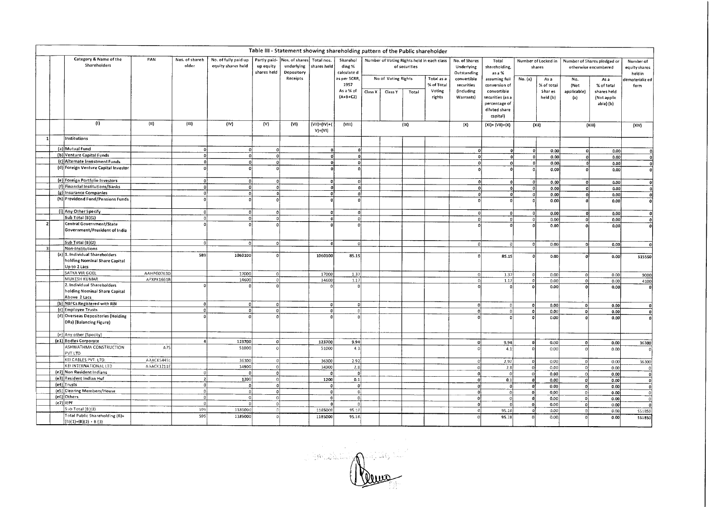|    |                                                                                    |            |                         |                                            |                                          | Table III - Statement showing shareholding pattern of the Public shareholder |                                 |                                                   |         |                     |               |                                                          |                                                           |                                                                                                |              |                                       |                            |                                                             |                                                          |
|----|------------------------------------------------------------------------------------|------------|-------------------------|--------------------------------------------|------------------------------------------|------------------------------------------------------------------------------|---------------------------------|---------------------------------------------------|---------|---------------------|---------------|----------------------------------------------------------|-----------------------------------------------------------|------------------------------------------------------------------------------------------------|--------------|---------------------------------------|----------------------------|-------------------------------------------------------------|----------------------------------------------------------|
|    | Category & Name of the<br>Shareholders                                             | PAN        | Nos. of shareh<br>older | No. of fully paid up<br>equity shares held | Partly paid-<br>up equity<br>shares held | Nos. of shares<br>underlying<br>Depository<br>Receipts                       | Total nos.<br>shares held       | Sharehol<br>ding %<br>calculate d<br>as per SCRR, |         | No of Voting Rights | of securities | Number of Voting Rights held in each class<br>Total as a | No. of Shares<br>Underlying<br>Outstanding<br>convertible | Total<br>shareholding,<br>as a %<br>assuming full                                              | No. (a)      | Number of Locked in<br>shares<br>As a | No.                        | Number of Shares pledged or<br>otherwise encumbered<br>As a | Number of<br>equity shares<br>held in<br>dematerializ ed |
|    |                                                                                    |            |                         |                                            |                                          |                                                                              |                                 | 1957<br>As a % of<br>$(A+B+C2)$                   | Class X | Class Y             | Total         | % of Total<br>Voting<br>rights                           | securities<br>(including<br>Warrants)                     | conversion of<br>convertible<br>securities (as a<br>percentage of<br>diluted share<br>capital) |              | % of total<br>Shar es<br>held (b)     | (Not<br>applicable)<br>(a) | % of total<br>shares held<br>(Not applic<br>able) (b)       | form                                                     |
|    | (1)                                                                                | (11)       | (111)                   | (IV)                                       | (V)                                      | (V)                                                                          | $(VH) = (IV) + ($<br>$V$ )+(VI) | (VIII)                                            |         |                     | (IX)          |                                                          | (X)                                                       | $(X1) = (V11)+(X)$                                                                             |              | (X 1)                                 |                            | (XIII)                                                      | (XIV)                                                    |
|    | Institutions                                                                       |            |                         |                                            |                                          |                                                                              |                                 |                                                   |         |                     |               |                                                          |                                                           |                                                                                                |              |                                       |                            |                                                             |                                                          |
|    | (a) Mutual Fund                                                                    |            | $\Omega$                | $\mathbf{o}$                               | ol                                       |                                                                              | ۵İ                              | -ol                                               |         |                     |               |                                                          |                                                           |                                                                                                | $\Omega$     | 0.00                                  |                            | 0.001                                                       | 0                                                        |
|    | (b) Venture Capital Funds                                                          |            | $\Omega$                | $\overline{\mathfrak{o}}$                  | 0                                        |                                                                              | ۵l                              | -ol                                               |         |                     |               |                                                          | $\Omega$                                                  |                                                                                                | -ol          | 0.00                                  |                            | 0.00                                                        |                                                          |
|    | (c) Alternate Investment Funds                                                     |            | $\Omega$                | $\mathbf{0}$                               | ol                                       |                                                                              | $\Omega$                        | οl                                                |         |                     |               |                                                          | $\Omega$                                                  |                                                                                                | $\Omega$     | 0.00                                  |                            | 0.00                                                        | $\mathbf{0}$                                             |
|    | (d) Foreign Venture Capital Investor                                               |            | $\Omega$                | $\mathbf{o}$                               |                                          |                                                                              |                                 |                                                   |         |                     |               |                                                          |                                                           |                                                                                                |              |                                       |                            |                                                             | $\Omega$                                                 |
|    |                                                                                    |            |                         |                                            |                                          |                                                                              |                                 |                                                   |         |                     |               |                                                          |                                                           |                                                                                                |              | 0.00                                  |                            | 0.00                                                        | $\boldsymbol{0}$                                         |
|    | (e) Foreign Portfolio Investors                                                    |            | $\mathbf 0$             | $\circ$                                    | -ol                                      |                                                                              |                                 | -nl                                               |         |                     |               |                                                          | $\Omega$                                                  |                                                                                                | ٥I           | 0.00                                  | $\Omega$                   | 0.00                                                        | $\mathbf{0}$                                             |
|    | (f) Financial Institutions/Banks                                                   |            | $\Omega$                | $\circ$                                    | -ol                                      |                                                                              | $\mathbf{0}$                    | -ol                                               |         |                     |               |                                                          | $\Omega$                                                  | $\Omega$                                                                                       | $\mathbf{0}$ | 0.00                                  |                            | 0.00                                                        | -ol                                                      |
|    | (g) Insurance Companies                                                            |            | 0                       | $\mathbf{o}$                               | Ő                                        |                                                                              | $\Omega$                        | $\Omega$                                          |         |                     |               |                                                          | $\sqrt{2}$                                                | 0                                                                                              | 0            | 0.00                                  |                            | 0.00                                                        | οl                                                       |
|    | (h) Providend Fund/Pensions Funds                                                  |            | $\Omega$                |                                            |                                          |                                                                              |                                 |                                                   |         |                     |               |                                                          |                                                           | $\Omega$                                                                                       | ٥l           | 0.00                                  |                            | 0.00                                                        | ٥I                                                       |
|    | (i) Any Other Specify                                                              |            | 0                       | 0                                          | $\Omega$                                 |                                                                              | O.                              | 0                                                 |         |                     |               |                                                          |                                                           |                                                                                                |              |                                       |                            |                                                             |                                                          |
|    | Sub Total (B)(1)                                                                   |            | -ol                     | o                                          | $\Omega$                                 |                                                                              | 0.                              | o                                                 |         |                     |               |                                                          | ٥l                                                        | $\mathbf{0}$                                                                                   | 0            | 0.00                                  | 0                          | 0.00                                                        | $\mathbf{0}$                                             |
|    | Central Government/State                                                           |            | $\theta$                |                                            |                                          |                                                                              |                                 |                                                   |         |                     |               |                                                          | 0                                                         |                                                                                                | $\Omega$     | 0.00                                  | n                          | 0.00                                                        | 0                                                        |
|    | Government/President of India                                                      |            |                         |                                            |                                          |                                                                              |                                 |                                                   |         |                     |               |                                                          |                                                           |                                                                                                |              | 0.00                                  |                            | 0.00                                                        | ۵İ                                                       |
|    | Sub Total (B)(2)                                                                   |            | οl                      | ol                                         | οl                                       |                                                                              |                                 |                                                   |         |                     |               |                                                          |                                                           | e                                                                                              | 0            | 0.00                                  | $\Omega$                   | 0.00                                                        | $\Omega$                                                 |
| اڌ | Non-Institutions                                                                   |            |                         |                                            |                                          |                                                                              |                                 |                                                   |         |                     |               |                                                          |                                                           |                                                                                                |              |                                       |                            |                                                             |                                                          |
|    | (a)<br>1. Individual Shareholders<br>holding Nominal Share Capital<br>Up to 2 Lacs |            | 589                     | 1060100                                    | Ωl                                       |                                                                              | 1060100                         | 85.15                                             |         |                     |               |                                                          |                                                           | 85.15                                                                                          |              | 0,00                                  |                            | 0.00                                                        | 515550                                                   |
|    | SATYA VIR GOEL                                                                     | AAHPG0763D |                         | 17000                                      | οl                                       |                                                                              | 17000                           | 1.37                                              |         |                     |               |                                                          |                                                           | 1.37                                                                                           |              | 0.00                                  | $\Omega$                   | 0.00                                                        | 9000                                                     |
|    | MUKESH KUMAR                                                                       | APXPK16618 |                         | 14600                                      | $\Omega$                                 |                                                                              | 14600                           | 1.17                                              |         |                     |               |                                                          |                                                           | 1.17                                                                                           |              | 0.00                                  | $\Omega$                   | 0.00                                                        | 4100                                                     |
|    | 2. Individual Shareholders<br>holding Nominal Share Capital<br>Above 2 Lacs        |            |                         |                                            |                                          |                                                                              |                                 | $\Omega$                                          |         |                     |               |                                                          |                                                           |                                                                                                |              | 0.00                                  |                            | 0.00                                                        |                                                          |
|    | (b) NBFCs Registered with RBI                                                      |            | οl                      | 0                                          | $\Omega$                                 |                                                                              | $\Omega$                        | $\Omega$                                          |         |                     |               |                                                          | ۵l                                                        | 0                                                                                              | $\Omega$     | 0.00                                  | $\Omega$                   | 0.00                                                        | $\Omega$                                                 |
|    | (c) Employee Trusts                                                                |            | 0                       | 0                                          | o                                        |                                                                              | O.                              | $\circ$                                           |         |                     |               |                                                          | $\Omega$                                                  | <sup>o</sup>                                                                                   | ol           | 0.00                                  | ΩI                         | 0.00                                                        | $\mathbf{0}$                                             |
|    | (d) Overseas Depositories (Holding<br>DRs) (Balancing Figure)                      |            | $\Omega$                |                                            |                                          |                                                                              |                                 |                                                   |         |                     |               |                                                          |                                                           |                                                                                                | o            | 0.00                                  |                            | 0.00                                                        | Ωl                                                       |
|    | (e) Any other (Specity)                                                            |            |                         |                                            |                                          |                                                                              |                                 |                                                   |         |                     |               |                                                          |                                                           |                                                                                                |              |                                       |                            |                                                             |                                                          |
|    | (e1) Bodies Corporate                                                              |            | $\ddot{\bf{a}}$         | 123700                                     | ol                                       |                                                                              | 123700                          | 9.94                                              |         |                     |               |                                                          | ol                                                        | 9.94                                                                                           | $\mathbf 0$  | 0.00                                  | ٥l                         | 0.00                                                        |                                                          |
|    | ASHWATHMA CONSTRUCTION<br>PVT LTD                                                  | A75        |                         | \$1000                                     | ി                                        |                                                                              | 51000                           | 4.1                                               |         |                     |               |                                                          |                                                           | 4.1                                                                                            | ſ            | 0.00                                  | $\Omega$                   | 0.00                                                        | 36300<br>n.                                              |
|    | KEI CABLES PVT. LTD.                                                               | AAACK54451 |                         | 36300                                      | $\Omega$                                 |                                                                              | 363D0                           | 2.92                                              |         |                     |               |                                                          |                                                           | 2.92                                                                                           | $\circ$      | 0.00                                  | $\Omega$                   | 0.00                                                        |                                                          |
|    | KEI INTERNATIONAL LTD                                                              | AAACK1211E |                         | 34900                                      | ol                                       |                                                                              | 34900                           | 2.8                                               |         |                     |               |                                                          |                                                           | 2.8                                                                                            | $\mathbf 0$  | 0.00                                  | $\Omega$                   | 0.00                                                        | 36300                                                    |
|    | (e2) Non Resident Indians                                                          |            | $\Omega$                | $\Omega$                                   | 0                                        |                                                                              | $\Omega$                        | $^{\circ}$                                        |         |                     |               |                                                          |                                                           |                                                                                                | $\Omega$     | 0.00                                  |                            |                                                             | $\mathbf{0}$                                             |
|    | (e3) Resident Indian Huf                                                           |            | $\overline{2}$          | 1200                                       | οl                                       |                                                                              | 1200                            | [0.1]                                             |         |                     |               |                                                          | $\Omega$                                                  | οl                                                                                             | $\mathbf{0}$ |                                       | $\Omega$                   | 0.00                                                        | $\Omega$                                                 |
|    | $(e4)$ Trusts                                                                      |            | 0                       | οİ                                         | $\mathbf{0}$                             |                                                                              |                                 | -oi                                               |         |                     |               |                                                          |                                                           | 0,1                                                                                            |              | 0.00                                  | $\Omega$                   | 0.00                                                        | $\Omega$                                                 |
|    | (e5) Clearing Members/House                                                        |            | 0                       | ٥ļ                                         | οl                                       |                                                                              |                                 | 0 <sub>i</sub>                                    |         |                     |               |                                                          | n                                                         | $\overline{0}$                                                                                 | $\mathbf{0}$ | 0.00                                  | $\mathbf 0$                | 0.00                                                        | $\mathbf 0$                                              |
|    | (e6) Others                                                                        |            | - o l                   | $\circ$                                    | ol                                       |                                                                              |                                 | 0 <sup>1</sup>                                    |         |                     |               |                                                          | $\Omega$<br>$\Omega$                                      | ol                                                                                             | 0            | 0.00                                  | $\Omega$                   | 0.00                                                        | $\Omega$                                                 |
|    | $(e7)$ IEPF                                                                        |            | - ol                    | $\Omega$                                   | $\circ$                                  |                                                                              |                                 | $\Omega$                                          |         |                     |               |                                                          |                                                           | $\Omega$                                                                                       | ol           | 0.00                                  | $\circ$                    | 0.00                                                        | $\Omega$                                                 |
|    | Sub Total (B)(3)                                                                   |            | 599                     | 1185000                                    | -01                                      |                                                                              | 118500                          | 95.18                                             |         |                     |               |                                                          | $\Omega$                                                  | $\Omega$                                                                                       | ol           | 0.00                                  | $\Omega$                   | 0.00                                                        | $\mathbf{0}$                                             |
|    | Total Public Shareholding (B)=                                                     |            | <b>S95</b>              | 1185000                                    |                                          |                                                                              |                                 |                                                   |         |                     |               |                                                          |                                                           | 95.18                                                                                          | $\Omega$     | 0.00                                  |                            | 0.00                                                        | 551850                                                   |
|    | $(B)(1) + (B)(2) + B(3)$                                                           |            |                         |                                            | $\circ$                                  |                                                                              | 1185000                         | 95.18                                             |         |                     |               |                                                          |                                                           | 95.18                                                                                          | $\Omega$     | 0.00                                  | $\Omega$                   | 0.00                                                        | 551850                                                   |

Charles Marian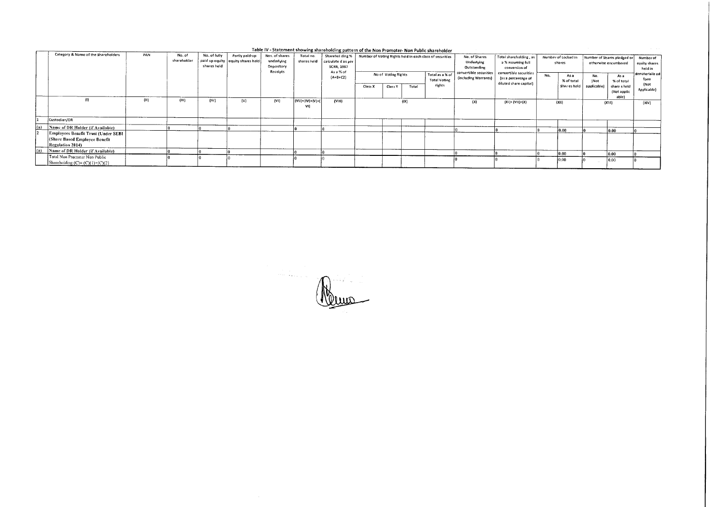|     |                                                                                                  |      |                       |                             |                                                       |                                                        |                                    | Table IV - Statement showing shareholding pattern of the Non Promoter- Non Public shareholder |                                                                                                                                             |         |                                                                      |                                                              |                                               |                        |                                                     |              |                                       |                                     |                     |
|-----|--------------------------------------------------------------------------------------------------|------|-----------------------|-----------------------------|-------------------------------------------------------|--------------------------------------------------------|------------------------------------|-----------------------------------------------------------------------------------------------|---------------------------------------------------------------------------------------------------------------------------------------------|---------|----------------------------------------------------------------------|--------------------------------------------------------------|-----------------------------------------------|------------------------|-----------------------------------------------------|--------------|---------------------------------------|-------------------------------------|---------------------|
|     | Category & Name of the Shareholders                                                              | PAN  | No. of<br>shareholder | No. of fully<br>shares held | Partly paid-up<br>paid up equity   equity shares held | Nos, of shares<br>underlying<br>Depository<br>Receipts | Total no.<br>shares held           | calculate d as per<br><b>SCRR, 1957</b><br>As a % of                                          | Sharehol ding %   Number of Voting Rights held in each class of securities<br>No of Voting Rights<br>Total as a % of<br><b>Total Voting</b> |         | No. of Shares<br>Underlying<br>Outstanding<br>convertible securities | Total shareholding, as<br>a % assuming full<br>conversion of | Number of Locked in<br>shares                 |                        | Number of Shares pledged or<br>otherwise encumbered |              | Number of<br>equity shares<br>held in |                                     |                     |
|     |                                                                                                  |      |                       |                             |                                                       |                                                        |                                    | $(A + B + C2)$                                                                                |                                                                                                                                             |         |                                                                      | (including Warrants)                                         | convertible securities<br>(as a percentage of | No.                    | As a<br>% of total                                  | No.<br>(Not  | As a<br>% of total                    | dematerializ ed<br>form             |                     |
|     |                                                                                                  |      |                       |                             |                                                       |                                                        |                                    |                                                                                               | Class X                                                                                                                                     | Class Y | Total                                                                | rights                                                       |                                               | diluted share capital) |                                                     | Shar es held | applicable)                           | share sheld<br>(Not applic<br>able) | (Not<br>Applicable) |
|     | $\{0\}$                                                                                          | (II) | (HI)                  | (VV)                        | (v)                                                   | (VI)                                                   | $  (V(i) = ( V ) +  V  +  $<br>VII | (VIII)                                                                                        |                                                                                                                                             |         | (IX)                                                                 |                                                              | (X)                                           | (XI)= (VII)+(X)        |                                                     | (XII)        |                                       | (XH)                                | (XIV)               |
|     | Custodian/DR                                                                                     |      |                       |                             |                                                       |                                                        |                                    |                                                                                               |                                                                                                                                             |         |                                                                      |                                                              |                                               |                        |                                                     |              |                                       |                                     |                     |
| (a) | Name of DR Holder (if Availabte)                                                                 |      |                       |                             |                                                       |                                                        |                                    |                                                                                               |                                                                                                                                             |         |                                                                      |                                                              |                                               |                        |                                                     | 0.00         |                                       | 0.00                                |                     |
|     | <b>Employees Benefit Trust (Under SEBI</b><br>(Share Based Employee Benefit)<br>Regulation 2014) |      |                       |                             |                                                       |                                                        |                                    |                                                                                               |                                                                                                                                             |         |                                                                      |                                                              |                                               |                        |                                                     |              |                                       |                                     |                     |
| (a) | Name of DR Holder (if Available)                                                                 |      |                       |                             |                                                       |                                                        |                                    |                                                                                               |                                                                                                                                             |         |                                                                      |                                                              |                                               |                        |                                                     | 0.00         |                                       | $ 0.00\rangle$                      |                     |
|     | Total Non Promoter Non Public<br>Shareholding $(C)=(C)(1)+(C)(2)$                                |      |                       |                             |                                                       |                                                        |                                    |                                                                                               |                                                                                                                                             |         |                                                                      |                                                              |                                               |                        |                                                     | 0.00         |                                       | 001                                 |                     |

 $\label{eq:2} \begin{split} \mathcal{L}_{\text{max}}(\mathcal{L}_{\text{max}}) = \mathcal{L}_{\text{max}}(\mathcal{L}_{\text{max}}) \end{split}$  $\mathbb{R}$